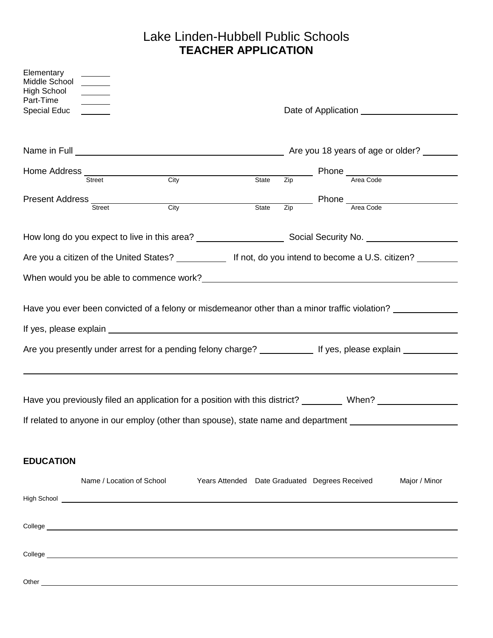## Lake Linden-Hubbell Public Schools **TEACHER APPLICATION**

| Elementary<br>Middle School<br>High School<br>Part-Time                                                                                                                                                                                                                                                                         |                                                           |  |  |  |
|---------------------------------------------------------------------------------------------------------------------------------------------------------------------------------------------------------------------------------------------------------------------------------------------------------------------------------|-----------------------------------------------------------|--|--|--|
| Special Educ                                                                                                                                                                                                                                                                                                                    |                                                           |  |  |  |
| Name in Full <u>example and the set of the set of the set of the set of the set of the set of the set of the set of the set of the set of the set of the set of the set of the set of the set of the set of the set of the set o</u>                                                                                            |                                                           |  |  |  |
| Home Address<br>Street City<br>State                                                                                                                                                                                                                                                                                            | $\frac{1}{\text{Zip}}$ Phone $\frac{1}{\text{Area Code}}$ |  |  |  |
| Present Address<br>Street<br><b>City</b><br>State                                                                                                                                                                                                                                                                               | $\frac{1}{\text{Zip}}$ Phone $\frac{1}{\text{Area Code}}$ |  |  |  |
|                                                                                                                                                                                                                                                                                                                                 |                                                           |  |  |  |
| Are you a citizen of the United States? _____________ If not, do you intend to become a U.S. citizen? ________                                                                                                                                                                                                                  |                                                           |  |  |  |
|                                                                                                                                                                                                                                                                                                                                 |                                                           |  |  |  |
| Have you ever been convicted of a felony or misdemeanor other than a minor traffic violation?<br>If yes, please explain example and the state of the state of the state of the state of the state of the state of the state of the state of the state of the state of the state of the state of the state of the state of the s |                                                           |  |  |  |
| Are you presently under arrest for a pending felony charge? _______________ If yes, please explain ___________                                                                                                                                                                                                                  |                                                           |  |  |  |
|                                                                                                                                                                                                                                                                                                                                 |                                                           |  |  |  |
| Have you previously filed an application for a position with this district? ________ When? _______________                                                                                                                                                                                                                      |                                                           |  |  |  |
| If related to anyone in our employ (other than spouse), state name and department                                                                                                                                                                                                                                               |                                                           |  |  |  |
|                                                                                                                                                                                                                                                                                                                                 |                                                           |  |  |  |
| <b>EDUCATION</b>                                                                                                                                                                                                                                                                                                                |                                                           |  |  |  |
| Name / Location of School<br>Years Attended Date Graduated Degrees Received                                                                                                                                                                                                                                                     | Major / Minor                                             |  |  |  |
| High School <u>superior and the second second second second second second second second second second second second second second second second second second second second second second second second second second second sec</u>                                                                                            |                                                           |  |  |  |
|                                                                                                                                                                                                                                                                                                                                 |                                                           |  |  |  |
|                                                                                                                                                                                                                                                                                                                                 |                                                           |  |  |  |
|                                                                                                                                                                                                                                                                                                                                 |                                                           |  |  |  |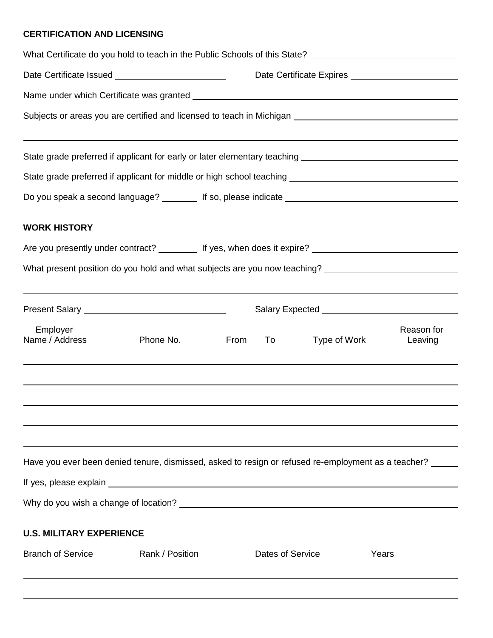## **CERTIFICATION AND LICENSING**

|                                 | What Certificate do you hold to teach in the Public Schools of this State? ___________________________________ |                  |              |                       |  |
|---------------------------------|----------------------------------------------------------------------------------------------------------------|------------------|--------------|-----------------------|--|
|                                 |                                                                                                                |                  |              |                       |  |
|                                 |                                                                                                                |                  |              |                       |  |
|                                 |                                                                                                                |                  |              |                       |  |
|                                 | State grade preferred if applicant for early or later elementary teaching ___________________________________  |                  |              |                       |  |
|                                 |                                                                                                                |                  |              |                       |  |
|                                 |                                                                                                                |                  |              |                       |  |
| <b>WORK HISTORY</b>             |                                                                                                                |                  |              |                       |  |
|                                 |                                                                                                                |                  |              |                       |  |
|                                 |                                                                                                                |                  |              |                       |  |
|                                 |                                                                                                                |                  |              |                       |  |
| Employer<br>Name / Address      | Phone No.                                                                                                      | From<br>To       | Type of Work | Reason for<br>Leaving |  |
|                                 |                                                                                                                |                  |              |                       |  |
|                                 | Have you ever been denied tenure, dismissed, asked to resign or refused re-employment as a teacher?            |                  |              |                       |  |
|                                 |                                                                                                                |                  |              |                       |  |
|                                 |                                                                                                                |                  |              |                       |  |
| <b>U.S. MILITARY EXPERIENCE</b> |                                                                                                                |                  |              |                       |  |
| <b>Branch of Service</b>        | Rank / Position                                                                                                | Dates of Service |              | Years                 |  |
|                                 |                                                                                                                |                  |              |                       |  |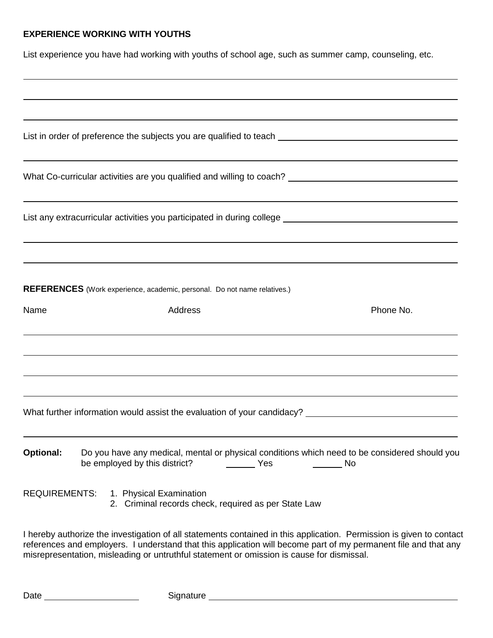## **EXPERIENCE WORKING WITH YOUTHS**

List experience you have had working with youths of school age, such as summer camp, counseling, etc.

|                  | List in order of preference the subjects you are qualified to teach ________________________________                                            |           |
|------------------|-------------------------------------------------------------------------------------------------------------------------------------------------|-----------|
|                  | What Co-curricular activities are you qualified and willing to coach? National Co-curricular activities are you qualified and willing to coach? |           |
|                  | ,我们也不会有什么。""我们的人,我们也不会有什么?""我们的人,我们也不会有什么?""我们的人,我们也不会有什么?""我们的人,我们也不会有什么?""我们的人                                                                |           |
|                  |                                                                                                                                                 |           |
|                  | REFERENCES (Work experience, academic, personal. Do not name relatives.)                                                                        |           |
| Name             | Address                                                                                                                                         | Phone No. |
|                  |                                                                                                                                                 |           |
|                  | What further information would assist the evaluation of your candidacy? ____________________________                                            |           |
| <b>Optional:</b> | Do you have any medical, mental or physical conditions which need to be considered should you<br>be employed by this district?<br>Yes           | No        |
|                  | REQUIREMENTS: 1. Physical Examination<br>2. Criminal records check, required as per State Law                                                   |           |
|                  |                                                                                                                                                 |           |

I hereby authorize the investigation of all statements contained in this application. Permission is given to contact references and employers. I understand that this application will become part of my permanent file and that any misrepresentation, misleading or untruthful statement or omission is cause for dismissal.

Date Signature